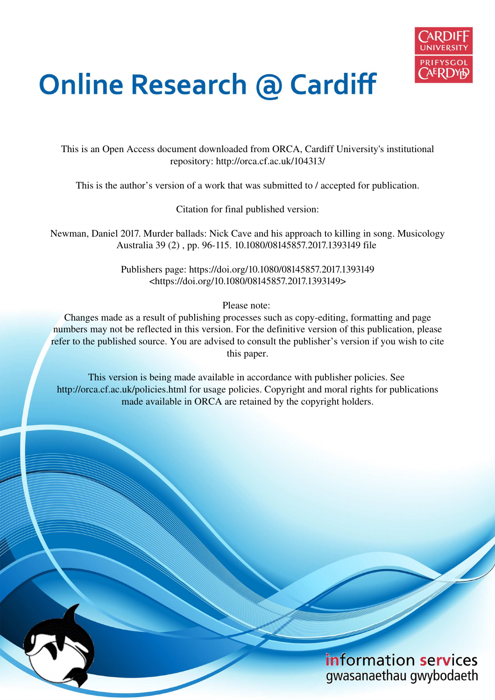

# **Online Research @ Cardiff**

This is an Open Access document downloaded from ORCA, Cardiff University's institutional repository: http://orca.cf.ac.uk/104313/

This is the author's version of a work that was submitted to / accepted for publication.

Citation for final published version:

Newman, Daniel 2017. Murder ballads: Nick Cave and his approach to killing in song. Musicology Australia 39 (2) , pp. 96-115. 10.1080/08145857.2017.1393149 file

> Publishers page: https://doi.org/10.1080/08145857.2017.1393149 <https://doi.org/10.1080/08145857.2017.1393149>

> > Please note:

Changes made as a result of publishing processes such as copy-editing, formatting and page numbers may not be reflected in this version. For the definitive version of this publication, please refer to the published source. You are advised to consult the publisher's version if you wish to cite this paper.

This version is being made available in accordance with publisher policies. See http://orca.cf.ac.uk/policies.html for usage policies. Copyright and moral rights for publications made available in ORCA are retained by the copyright holders.

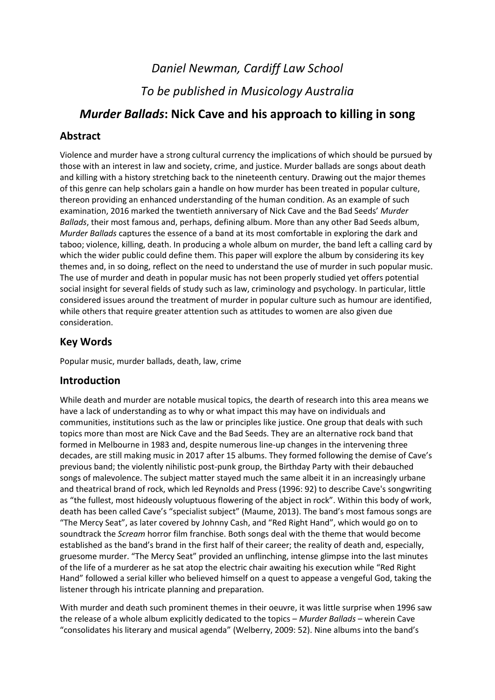# *Daniel Newman, Cardiff Law School To be published in Musicology Australia*

# *Murder Ballads***: Nick Cave and his approach to killing in song**

# **Abstract**

Violence and murder have a strong cultural currency the implications of which should be pursued by those with an interest in law and society, crime, and justice. Murder ballads are songs about death and killing with a history stretching back to the nineteenth century. Drawing out the major themes of this genre can help scholars gain a handle on how murder has been treated in popular culture, thereon providing an enhanced understanding of the human condition. As an example of such examination, 2016 marked the twentieth anniversary of Nick Cave and the Bad Seeds' Murder *Ballads*, their most famous and, perhaps, defining album. More than any other Bad Seeds album, *Murder Ballads* captures the essence of a band at its most comfortable in exploring the dark and taboo; violence, killing, death. In producing a whole album on murder, the band left a calling card by which the wider public could define them. This paper will explore the album by considering its key themes and, in so doing, reflect on the need to understand the use of murder in such popular music. The use of murder and death in popular music has not been properly studied yet offers potential social insight for several fields of study such as law, criminology and psychology. In particular, little considered issues around the treatment of murder in popular culture such as humour are identified, while others that require greater attention such as attitudes to women are also given due consideration.

# **Key Words**

Popular music, murder ballads, death, law, crime

## **Introduction**

While death and murder are notable musical topics, the dearth of research into this area means we have a lack of understanding as to why or what impact this may have on individuals and communities, institutions such as the law or principles like justice. One group that deals with such topics more than most are Nick Cave and the Bad Seeds. They are an alternative rock band that formed in Melbourne in 1983 and, despite numerous line-up changes in the intervening three decades, are still making music in 2017 after 15 albums. They formed following the demise of Cave's previous band; the violently nihilistic post-punk group, the Birthday Party with their debauched songs of malevolence. The subject matter stayed much the same albeit it in an increasingly urbane and theatrical brand of rock, which led Reynolds and Press (1996: 92) to describe Cave's songwriting as "the fullest, most hideously voluptuous flowering of the abject in rock". Within this body of work, death has been called Cave's "specialist subject" (Maume, 2013). The band's most famous songs are ͞The Mercy Seat͟, as later covered by Johnny Cash, and ͞Red Right Hand͟, which would go on to soundtrack the *Scream* horror film franchise. Both songs deal with the theme that would become established as the band's brand in the first half of their career; the reality of death and, especially, gruesome murder. "The Mercy Seat" provided an unflinching, intense glimpse into the last minutes of the life of a murderer as he sat atop the electric chair awaiting his execution while "Red Right" Hand" followed a serial killer who believed himself on a quest to appease a vengeful God, taking the listener through his intricate planning and preparation.

With murder and death such prominent themes in their oeuvre, it was little surprise when 1996 saw the release of a whole album explicitly dedicated to the topics – *Murder Ballads* – wherein Cave "consolidates his literary and musical agenda" (Welberry, 2009: 52). Nine albums into the band's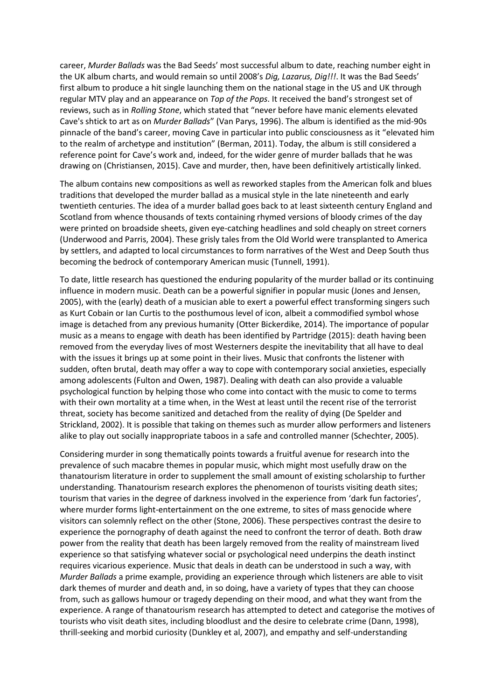career, *Murder Ballads* was the Bad Seeds' most successful album to date, reaching number eight in the UK album charts, and would remain so until 2008's Dig, Lazarus, Dig!!!. It was the Bad Seeds' first album to produce a hit single launching them on the national stage in the US and UK through regular MTV play and an appearance on *Top of the Pops*. It received the band's strongest set of reviews, such as in *Rolling Stone*, which stated that "never before have manic elements elevated Cave's shtick to art as on *Murder Ballads*͟ (Van Parys, 1996). The album is identified as the mid-90s pinnacle of the band's career, moving Cave in particular into public consciousness as it "elevated him to the realm of archetype and institution" (Berman, 2011). Today, the album is still considered a reference point for Cave's work and, indeed, for the wider genre of murder ballads that he was drawing on (Christiansen, 2015). Cave and murder, then, have been definitively artistically linked.

The album contains new compositions as well as reworked staples from the American folk and blues traditions that developed the murder ballad as a musical style in the late nineteenth and early twentieth centuries. The idea of a murder ballad goes back to at least sixteenth century England and Scotland from whence thousands of texts containing rhymed versions of bloody crimes of the day were printed on broadside sheets, given eye-catching headlines and sold cheaply on street corners (Underwood and Parris, 2004). These grisly tales from the Old World were transplanted to America by settlers, and adapted to local circumstances to form narratives of the West and Deep South thus becoming the bedrock of contemporary American music (Tunnell, 1991).

To date, little research has questioned the enduring popularity of the murder ballad or its continuing influence in modern music. Death can be a powerful signifier in popular music (Jones and Jensen, 2005), with the (early) death of a musician able to exert a powerful effect transforming singers such as Kurt Cobain or Ian Curtis to the posthumous level of icon, albeit a commodified symbol whose image is detached from any previous humanity (Otter Bickerdike, 2014). The importance of popular music as a means to engage with death has been identified by Partridge (2015): death having been removed from the everyday lives of most Westerners despite the inevitability that all have to deal with the issues it brings up at some point in their lives. Music that confronts the listener with sudden, often brutal, death may offer a way to cope with contemporary social anxieties, especially among adolescents (Fulton and Owen, 1987). Dealing with death can also provide a valuable psychological function by helping those who come into contact with the music to come to terms with their own mortality at a time when, in the West at least until the recent rise of the terrorist threat, society has become sanitized and detached from the reality of dying (De Spelder and Strickland, 2002). It is possible that taking on themes such as murder allow performers and listeners alike to play out socially inappropriate taboos in a safe and controlled manner (Schechter, 2005).

Considering murder in song thematically points towards a fruitful avenue for research into the prevalence of such macabre themes in popular music, which might most usefully draw on the thanatourism literature in order to supplement the small amount of existing scholarship to further understanding. Thanatourism research explores the phenomenon of tourists visiting death sites; tourism that varies in the degree of darkness involved in the experience from 'dark fun factories', where murder forms light-entertainment on the one extreme, to sites of mass genocide where visitors can solemnly reflect on the other (Stone, 2006). These perspectives contrast the desire to experience the pornography of death against the need to confront the terror of death. Both draw power from the reality that death has been largely removed from the reality of mainstream lived experience so that satisfying whatever social or psychological need underpins the death instinct requires vicarious experience. Music that deals in death can be understood in such a way, with *Murder Ballads* a prime example, providing an experience through which listeners are able to visit dark themes of murder and death and, in so doing, have a variety of types that they can choose from, such as gallows humour or tragedy depending on their mood, and what they want from the experience. A range of thanatourism research has attempted to detect and categorise the motives of tourists who visit death sites, including bloodlust and the desire to celebrate crime (Dann, 1998), thrill-seeking and morbid curiosity (Dunkley et al, 2007), and empathy and self-understanding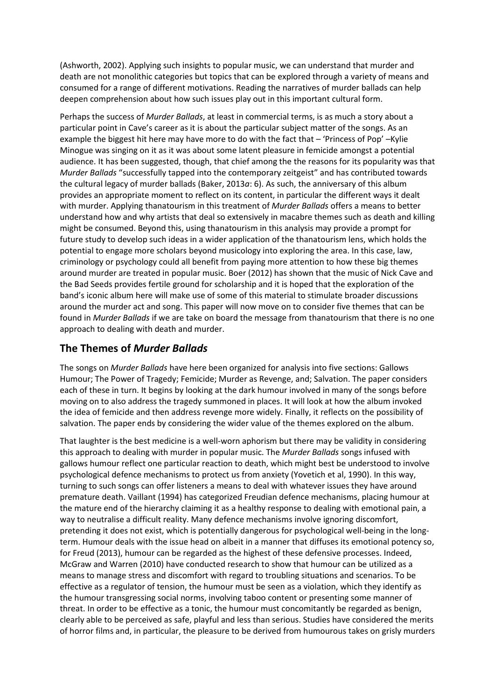(Ashworth, 2002). Applying such insights to popular music, we can understand that murder and death are not monolithic categories but topics that can be explored through a variety of means and consumed for a range of different motivations. Reading the narratives of murder ballads can help deepen comprehension about how such issues play out in this important cultural form.

Perhaps the success of Murder Ballads, at least in commercial terms, is as much a story about a particular point in Cave's career as it is about the particular subject matter of the songs. As an example the biggest hit here may have more to do with the fact that - 'Princess of Pop' -Kylie Minogue was singing on it as it was about some latent pleasure in femicide amongst a potential audience. It has been suggested, though, that chief among the the reasons for its popularity was that Murder Ballads "successfully tapped into the contemporary zeitgeist" and has contributed towards the cultural legacy of murder ballads (Baker, 2013 $a: 6$ ). As such, the anniversary of this album provides an appropriate moment to reflect on its content, in particular the different ways it dealt with murder. Applying thanatourism in this treatment of Murder Ballads offers a means to better understand how and why artists that deal so extensively in macabre themes such as death and killing might be consumed. Beyond this, using thanatourism in this analysis may provide a prompt for future study to develop such ideas in a wider application of the thanatourism lens, which holds the potential to engage more scholars beyond musicology into exploring the area. In this case, law, criminology or psychology could all benefit from paying more attention to how these big themes around murder are treated in popular music. Boer (2012) has shown that the music of Nick Cave and the Bad Seeds provides fertile ground for scholarship and it is hoped that the exploration of the band's iconic album here will make use of some of this material to stimulate broader discussions around the murder act and song. This paper will now move on to consider five themes that can be found in Murder Ballads if we are take on board the message from thanatourism that there is no one approach to dealing with death and murder.

# The Themes of Murder Ballads

The songs on Murder Ballads have here been organized for analysis into five sections: Gallows Humour; The Power of Tragedy; Femicide; Murder as Revenge, and; Salvation. The paper considers each of these in turn. It begins by looking at the dark humour involved in many of the songs before moving on to also address the tragedy summoned in places. It will look at how the album invoked the idea of femicide and then address revenge more widely. Finally, it reflects on the possibility of salvation. The paper ends by considering the wider value of the themes explored on the album.

That laughter is the best medicine is a well-worn aphorism but there may be validity in considering this approach to dealing with murder in popular music. The Murder Ballads songs infused with gallows humour reflect one particular reaction to death, which might best be understood to involve psychological defence mechanisms to protect us from anxiety (Yovetich et al, 1990). In this way, turning to such songs can offer listeners a means to deal with whatever issues they have around premature death. Vaillant (1994) has categorized Freudian defence mechanisms, placing humour at the mature end of the hierarchy claiming it as a healthy response to dealing with emotional pain, a way to neutralise a difficult reality. Many defence mechanisms involve ignoring discomfort, pretending it does not exist, which is potentially dangerous for psychological well-being in the longterm. Humour deals with the issue head on albeit in a manner that diffuses its emotional potency so, for Freud (2013), humour can be regarded as the highest of these defensive processes. Indeed, McGraw and Warren (2010) have conducted research to show that humour can be utilized as a means to manage stress and discomfort with regard to troubling situations and scenarios. To be effective as a regulator of tension, the humour must be seen as a violation, which they identify as the humour transgressing social norms, involving taboo content or presenting some manner of threat. In order to be effective as a tonic, the humour must concomitantly be regarded as benign, clearly able to be perceived as safe, playful and less than serious. Studies have considered the merits of horror films and, in particular, the pleasure to be derived from humourous takes on grisly murders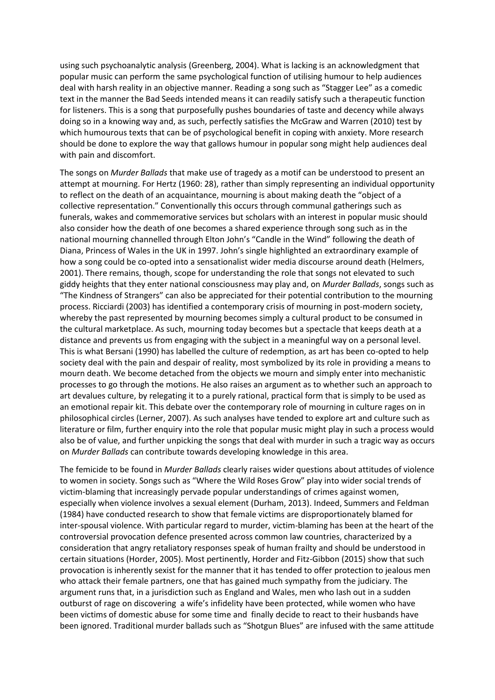using such psychoanalytic analysis (Greenberg, 2004). What is lacking is an acknowledgment that popular music can perform the same psychological function of utilising humour to help audiences deal with harsh reality in an objective manner. Reading a song such as "Stagger Lee" as a comedic text in the manner the Bad Seeds intended means it can readily satisfy such a therapeutic function for listeners. This is a song that purposefully pushes boundaries of taste and decency while always doing so in a knowing way and, as such, perfectly satisfies the McGraw and Warren (2010) test by which humourous texts that can be of psychological benefit in coping with anxiety. More research should be done to explore the way that gallows humour in popular song might help audiences deal with pain and discomfort.

The songs on Murder Ballads that make use of tragedy as a motif can be understood to present an attempt at mourning. For Hertz (1960: 28), rather than simply representing an individual opportunity to reflect on the death of an acquaintance, mourning is about making death the "object of a collective representation." Conventionally this occurs through communal gatherings such as funerals, wakes and commemorative services but scholars with an interest in popular music should also consider how the death of one becomes a shared experience through song such as in the national mourning channelled through Elton John's "Candle in the Wind" following the death of Diana, Princess of Wales in the UK in 1997. John's single highlighted an extraordinary example of how a song could be co-opted into a sensationalist wider media discourse around death (Helmers, 2001). There remains, though, scope for understanding the role that songs not elevated to such giddy heights that they enter national consciousness may play and, on *Murder Ballads*, songs such as "The Kindness of Strangers" can also be appreciated for their potential contribution to the mourning process. Ricciardi (2003) has identified a contemporary crisis of mourning in post-modern society, whereby the past represented by mourning becomes simply a cultural product to be consumed in the cultural marketplace. As such, mourning today becomes but a spectacle that keeps death at a distance and prevents us from engaging with the subject in a meaningful way on a personal level. This is what Bersani (1990) has labelled the culture of redemption, as art has been co-opted to help society deal with the pain and despair of reality, most symbolized by its role in providing a means to mourn death. We become detached from the objects we mourn and simply enter into mechanistic processes to go through the motions. He also raises an argument as to whether such an approach to art devalues culture, by relegating it to a purely rational, practical form that is simply to be used as an emotional repair kit. This debate over the contemporary role of mourning in culture rages on in philosophical circles (Lerner, 2007). As such analyses have tended to explore art and culture such as literature or film, further enquiry into the role that popular music might play in such a process would also be of value, and further unpicking the songs that deal with murder in such a tragic way as occurs on Murder Ballads can contribute towards developing knowledge in this area.

The femicide to be found in Murder Ballads clearly raises wider questions about attitudes of violence to women in society. Songs such as "Where the Wild Roses Grow" play into wider social trends of victim-blaming that increasingly pervade popular understandings of crimes against women, especially when violence involves a sexual element (Durham, 2013). Indeed, Summers and Feldman (1984) have conducted research to show that female victims are disproportionately blamed for inter-spousal violence. With particular regard to murder, victim-blaming has been at the heart of the controversial provocation defence presented across common law countries, characterized by a consideration that angry retaliatory responses speak of human frailty and should be understood in certain situations (Horder, 2005). Most pertinently, Horder and Fitz-Gibbon (2015) show that such provocation is inherently sexist for the manner that it has tended to offer protection to jealous men who attack their female partners, one that has gained much sympathy from the judiciary. The argument runs that, in a jurisdiction such as England and Wales, men who lash out in a sudden outburst of rage on discovering a wife's infidelity have been protected, while women who have been victims of domestic abuse for some time and finally decide to react to their husbands have been ignored. Traditional murder ballads such as "Shotgun Blues" are infused with the same attitude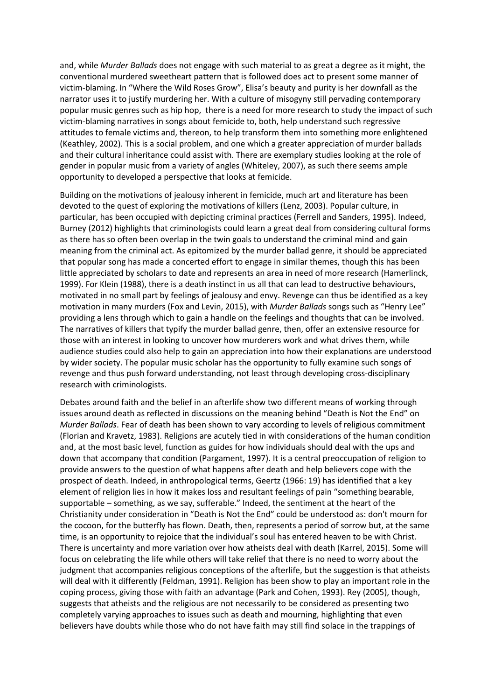and, while *Murder Ballads* does not engage with such material to as great a degree as it might, the conventional murdered sweetheart pattern that is followed does act to present some manner of victim-blaming. In "Where the Wild Roses Grow", Elisa's beauty and purity is her downfall as the narrator uses it to justify murdering her. With a culture of misogyny still pervading contemporary popular music genres such as hip hop, there is a need for more research to study the impact of such victim-blaming narratives in songs about femicide to, both, help understand such regressive attitudes to female victims and, thereon, to help transform them into something more enlightened (Keathley, 2002). This is a social problem, and one which a greater appreciation of murder ballads and their cultural inheritance could assist with. There are exemplary studies looking at the role of gender in popular music from a variety of angles (Whiteley, 2007), as such there seems ample opportunity to developed a perspective that looks at femicide.

Building on the motivations of jealousy inherent in femicide, much art and literature has been devoted to the quest of exploring the motivations of killers (Lenz, 2003). Popular culture, in particular, has been occupied with depicting criminal practices (Ferrell and Sanders, 1995). Indeed, Burney (2012) highlights that criminologists could learn a great deal from considering cultural forms as there has so often been overlap in the twin goals to understand the criminal mind and gain meaning from the criminal act. As epitomized by the murder ballad genre, it should be appreciated that popular song has made a concerted effort to engage in similar themes, though this has been little appreciated by scholars to date and represents an area in need of more research (Hamerlinck, 1999). For Klein (1988), there is a death instinct in us all that can lead to destructive behaviours, motivated in no small part by feelings of jealousy and envy. Revenge can thus be identified as a key motivation in many murders (Fox and Levin, 2015), with *Murder Ballads* songs such as "Henry Lee" providing a lens through which to gain a handle on the feelings and thoughts that can be involved. The narratives of killers that typify the murder ballad genre, then, offer an extensive resource for those with an interest in looking to uncover how murderers work and what drives them, while audience studies could also help to gain an appreciation into how their explanations are understood by wider society. The popular music scholar has the opportunity to fully examine such songs of revenge and thus push forward understanding, not least through developing cross-disciplinary research with criminologists.

Debates around faith and the belief in an afterlife show two different means of working through issues around death as reflected in discussions on the meaning behind "Death is Not the End" on *Murder Ballads*. Fear of death has been shown to vary according to levels of religious commitment (Florian and Kravetz, 1983). Religions are acutely tied in with considerations of the human condition and, at the most basic level, function as guides for how individuals should deal with the ups and down that accompany that condition (Pargament, 1997). It is a central preoccupation of religion to provide answers to the question of what happens after death and help believers cope with the prospect of death. Indeed, in anthropological terms, Geertz (1966: 19) has identified that a key element of religion lies in how it makes loss and resultant feelings of pain "something bearable, supportable – something, as we say, sufferable.<sup>*"*</sup> Indeed, the sentiment at the heart of the Christianity under consideration in "Death is Not the End" could be understood as: don't mourn for the cocoon, for the butterfly has flown. Death, then, represents a period of sorrow but, at the same time, is an opportunity to rejoice that the individual's soul has entered heaven to be with Christ. There is uncertainty and more variation over how atheists deal with death (Karrel, 2015). Some will focus on celebrating the life while others will take relief that there is no need to worry about the judgment that accompanies religious conceptions of the afterlife, but the suggestion is that atheists will deal with it differently (Feldman, 1991). Religion has been show to play an important role in the coping process, giving those with faith an advantage (Park and Cohen, 1993). Rey (2005), though, suggests that atheists and the religious are not necessarily to be considered as presenting two completely varying approaches to issues such as death and mourning, highlighting that even believers have doubts while those who do not have faith may still find solace in the trappings of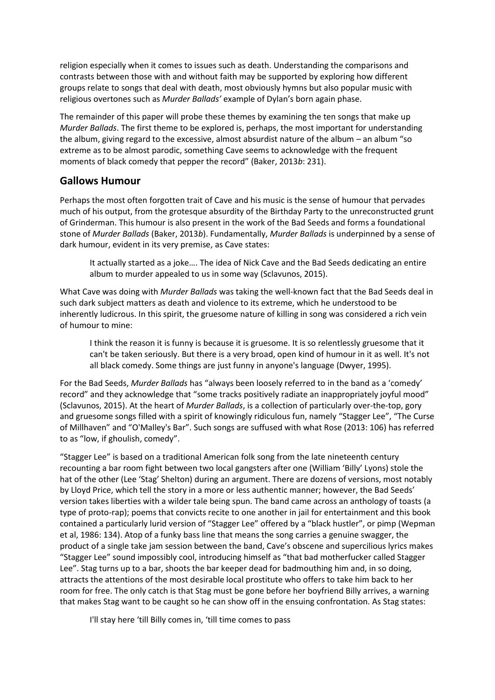religion especially when it comes to issues such as death. Understanding the comparisons and contrasts between those with and without faith may be supported by exploring how different groups relate to songs that deal with death, most obviously hymns but also popular music with religious overtones such as *Murder Ballads'* example of Dylan's born again phase.

The remainder of this paper will probe these themes by examining the ten songs that make up *Murder Ballads*. The first theme to be explored is, perhaps, the most important for understanding the album, giving regard to the excessive, almost absurdist nature of the album – an album "so extreme as to be almost parodic, something Cave seems to acknowledge with the frequent moments of black comedy that pepper the record<sup>"</sup> (Baker, 2013b: 231).

#### **Gallows Humour**

Perhaps the most often forgotten trait of Cave and his music is the sense of humour that pervades much of his output, from the grotesque absurdity of the Birthday Party to the unreconstructed grunt of Grinderman. This humour is also present in the work of the Bad Seeds and forms a foundational stone of *Murder Ballads* (Baker, 2013*b*). Fundamentally, *Murder Ballads* is underpinned by a sense of dark humour, evident in its very premise, as Cave states:

It actually started as a joke…. The idea of Nick Cave and the Bad Seeds dedicating an entire album to murder appealed to us in some way (Sclavunos, 2015).

What Cave was doing with *Murder Ballads* was taking the well-known fact that the Bad Seeds deal in such dark subject matters as death and violence to its extreme, which he understood to be inherently ludicrous. In this spirit, the gruesome nature of killing in song was considered a rich vein of humour to mine:

I think the reason it is funny is because it is gruesome. It is so relentlessly gruesome that it can't be taken seriously. But there is a very broad, open kind of humour in it as well. It's not all black comedy. Some things are just funny in anyone's language (Dwyer, 1995).

For the Bad Seeds, *Murder Ballads* has "always been loosely referred to in the band as a 'comedy' record" and they acknowledge that "some tracks positively radiate an inappropriately joyful mood" (Sclavunos, 2015). At the heart of *Murder Ballads*, is a collection of particularly over-the-top, gory and gruesome songs filled with a spirit of knowingly ridiculous fun, namely "Stagger Lee", "The Curse of Millhaven" and "O'Malley's Bar". Such songs are suffused with what Rose (2013: 106) has referred to as "low, if ghoulish, comedy".

͞Stagger Lee͟ is based on a traditional American folk song from the late nineteenth century recounting a bar room fight between two local gangsters after one (William 'Billy' Lyons) stole the hat of the other (Lee 'Stag' Shelton) during an argument. There are dozens of versions, most notably by Lloyd Price, which tell the story in a more or less authentic manner; however, the Bad Seeds' version takes liberties with a wilder tale being spun. The band came across an anthology of toasts (a type of proto-rap); poems that convicts recite to one another in jail for entertainment and this book contained a particularly lurid version of "Stagger Lee" offered by a "black hustler", or pimp (Wepman et al, 1986: 134). Atop of a funky bass line that means the song carries a genuine swagger, the product of a single take jam session between the band, Cave's obscene and supercilious lyrics makes "Stagger Lee" sound impossibly cool, introducing himself as "that bad motherfucker called Stagger Lee". Stag turns up to a bar, shoots the bar keeper dead for badmouthing him and, in so doing, attracts the attentions of the most desirable local prostitute who offers to take him back to her room for free. The only catch is that Stag must be gone before her boyfriend Billy arrives, a warning that makes Stag want to be caught so he can show off in the ensuing confrontation. As Stag states:

I'll stay here 'till Billy comes in, 'till time comes to pass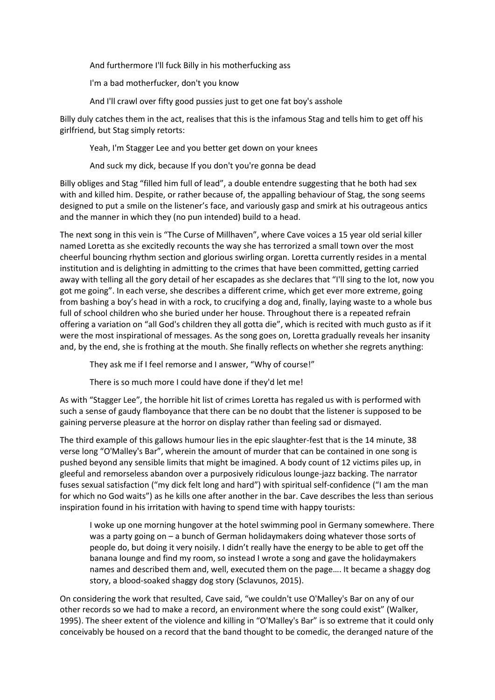And furthermore I'll fuck Billy in his motherfucking ass

I'm a bad motherfucker, don't you know

And I'll crawl over fifty good pussies just to get one fat boy's asshole

Billy duly catches them in the act, realises that this is the infamous Stag and tells him to get off his girlfriend, but Stag simply retorts:

Yeah, I'm Stagger Lee and you better get down on your knees

And suck my dick, because If you don't you're gonna be dead

Billy obliges and Stag "filled him full of lead", a double entendre suggesting that he both had sex with and killed him. Despite, or rather because of, the appalling behaviour of Stag, the song seems designed to put a smile on the listener's face, and variously gasp and smirk at his outrageous antics and the manner in which they (no pun intended) build to a head.

The next song in this vein is "The Curse of Millhaven", where Cave voices a 15 year old serial killer named Loretta as she excitedly recounts the way she has terrorized a small town over the most cheerful bouncing rhythm section and glorious swirling organ. Loretta currently resides in a mental institution and is delighting in admitting to the crimes that have been committed, getting carried away with telling all the gory detail of her escapades as she declares that "I'll sing to the lot, now you got me going". In each verse, she describes a different crime, which get ever more extreme, going from bashing a boy's head in with a rock, to crucifying a dog and, finally, laying waste to a whole bus full of school children who she buried under her house. Throughout there is a repeated refrain offering a variation on "all God's children they all gotta die", which is recited with much gusto as if it were the most inspirational of messages. As the song goes on, Loretta gradually reveals her insanity and, by the end, she is frothing at the mouth. She finally reflects on whether she regrets anything:

They ask me if I feel remorse and I answer, "Why of course!"

There is so much more I could have done if they'd let me!

As with "Stagger Lee", the horrible hit list of crimes Loretta has regaled us with is performed with such a sense of gaudy flamboyance that there can be no doubt that the listener is supposed to be gaining perverse pleasure at the horror on display rather than feeling sad or dismayed.

The third example of this gallows humour lies in the epic slaughter-fest that is the 14 minute, 38 verse long "O'Malley's Bar", wherein the amount of murder that can be contained in one song is pushed beyond any sensible limits that might be imagined. A body count of 12 victims piles up, in gleeful and remorseless abandon over a purposively ridiculous lounge-jazz backing. The narrator fuses sexual satisfaction ("my dick felt long and hard") with spiritual self-confidence ("I am the man for which no God waits") as he kills one after another in the bar. Cave describes the less than serious inspiration found in his irritation with having to spend time with happy tourists:

I woke up one morning hungover at the hotel swimming pool in Germany somewhere. There was a party going on – a bunch of German holidaymakers doing whatever those sorts of people do, but doing it very noisily. I didn't really have the energy to be able to get off the banana lounge and find my room, so instead I wrote a song and gave the holidaymakers names and described them and, well, executed them on the page.... It became a shaggy dog story, a blood-soaked shaggy dog story (Sclavunos, 2015).

On considering the work that resulted, Cave said, "we couldn't use O'Malley's Bar on any of our other records so we had to make a record, an environment where the song could exist" (Walker, 1995). The sheer extent of the violence and killing in "O'Malley's Bar" is so extreme that it could only conceivably be housed on a record that the band thought to be comedic, the deranged nature of the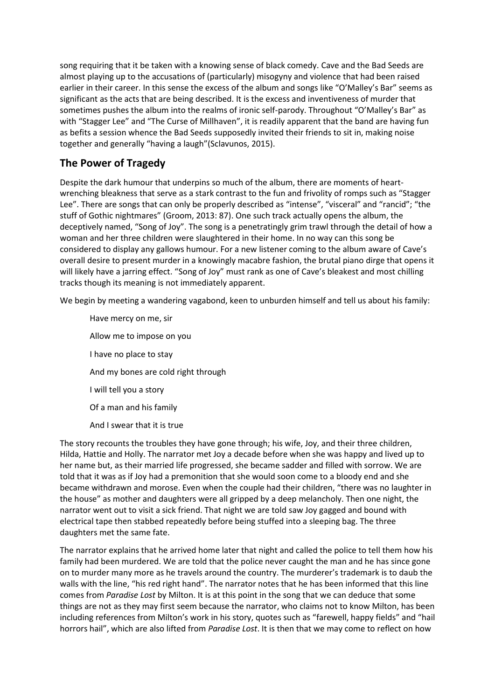song requiring that it be taken with a knowing sense of black comedy. Cave and the Bad Seeds are almost playing up to the accusations of (particularly) misogyny and violence that had been raised earlier in their career. In this sense the excess of the album and songs like "O'Malley's Bar" seems as significant as the acts that are being described. It is the excess and inventiveness of murder that sometimes pushes the album into the realms of ironic self-parody. Throughout "O'Malley's Bar" as with "Stagger Lee" and "The Curse of Millhaven", it is readily apparent that the band are having fun as befits a session whence the Bad Seeds supposedly invited their friends to sit in, making noise together and generally "having a laugh" (Sclavunos, 2015).

# **The Power of Tragedy**

Despite the dark humour that underpins so much of the album, there are moments of heartwrenching bleakness that serve as a stark contrast to the fun and frivolity of romps such as "Stagger Lee". There are songs that can only be properly described as "intense", "visceral" and "rancid"; "the stuff of Gothic nightmares" (Groom, 2013: 87). One such track actually opens the album, the deceptively named, "Song of Joy". The song is a penetratingly grim trawl through the detail of how a woman and her three children were slaughtered in their home. In no way can this song be considered to display any gallows humour. For a new listener coming to the album aware of Cave's overall desire to present murder in a knowingly macabre fashion, the brutal piano dirge that opens it will likely have a jarring effect. "Song of Joy" must rank as one of Cave's bleakest and most chilling tracks though its meaning is not immediately apparent.

We begin by meeting a wandering vagabond, keen to unburden himself and tell us about his family:

Have mercy on me, sir Allow me to impose on you I have no place to stay And my bones are cold right through I will tell you a story Of a man and his family And I swear that it is true

The story recounts the troubles they have gone through; his wife, Joy, and their three children, Hilda, Hattie and Holly. The narrator met Joy a decade before when she was happy and lived up to her name but, as their married life progressed, she became sadder and filled with sorrow. We are told that it was as if Joy had a premonition that she would soon come to a bloody end and she became withdrawn and morose. Even when the couple had their children, "there was no laughter in the house" as mother and daughters were all gripped by a deep melancholy. Then one night, the narrator went out to visit a sick friend. That night we are told saw Joy gagged and bound with electrical tape then stabbed repeatedly before being stuffed into a sleeping bag. The three daughters met the same fate.

The narrator explains that he arrived home later that night and called the police to tell them how his family had been murdered. We are told that the police never caught the man and he has since gone on to murder many more as he travels around the country. The murderer's trademark is to daub the walls with the line, "his red right hand". The narrator notes that he has been informed that this line comes from Paradise Lost by Milton. It is at this point in the song that we can deduce that some things are not as they may first seem because the narrator, who claims not to know Milton, has been including references from Milton's work in his story, quotes such as "farewell, happy fields" and "hail horrors hail", which are also lifted from Paradise Lost. It is then that we may come to reflect on how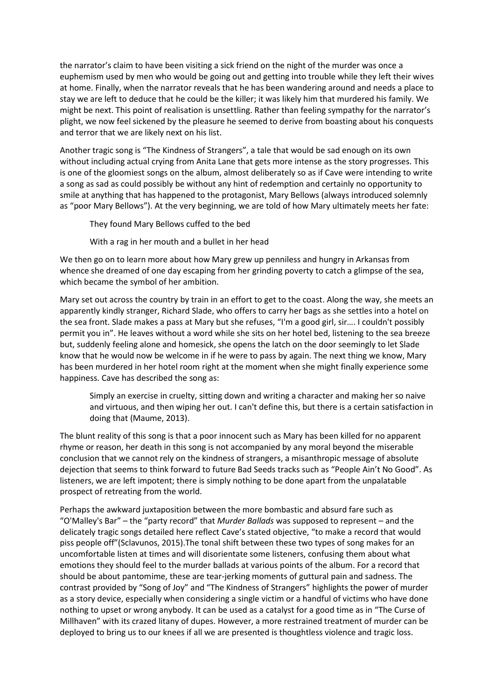the narrator's claim to have been visiting a sick friend on the night of the murder was once a euphemism used by men who would be going out and getting into trouble while they left their wives at home. Finally, when the narrator reveals that he has been wandering around and needs a place to stay we are left to deduce that he could be the killer; it was likely him that murdered his family. We might be next. This point of realisation is unsettling. Rather than feeling sympathy for the narrator's plight, we now feel sickened by the pleasure he seemed to derive from boasting about his conquests and terror that we are likely next on his list.

Another tragic song is "The Kindness of Strangers", a tale that would be sad enough on its own without including actual crying from Anita Lane that gets more intense as the story progresses. This is one of the gloomiest songs on the album, almost deliberately so as if Cave were intending to write a song as sad as could possibly be without any hint of redemption and certainly no opportunity to smile at anything that has happened to the protagonist, Mary Bellows (always introduced solemnly as "poor Mary Bellows"). At the very beginning, we are told of how Mary ultimately meets her fate:

They found Mary Bellows cuffed to the bed

With a rag in her mouth and a bullet in her head

We then go on to learn more about how Mary grew up penniless and hungry in Arkansas from whence she dreamed of one day escaping from her grinding poverty to catch a glimpse of the sea, which became the symbol of her ambition.

Mary set out across the country by train in an effort to get to the coast. Along the way, she meets an apparently kindly stranger, Richard Slade, who offers to carry her bags as she settles into a hotel on the sea front. Slade makes a pass at Mary but she refuses, "I'm a good girl, sir.... I couldn't possibly permit you in". He leaves without a word while she sits on her hotel bed. listening to the sea breeze but, suddenly feeling alone and homesick, she opens the latch on the door seemingly to let Slade know that he would now be welcome in if he were to pass by again. The next thing we know, Mary has been murdered in her hotel room right at the moment when she might finally experience some happiness. Cave has described the song as:

Simply an exercise in cruelty, sitting down and writing a character and making her so naive and virtuous, and then wiping her out. I can't define this, but there is a certain satisfaction in doing that (Maume, 2013).

The blunt reality of this song is that a poor innocent such as Mary has been killed for no apparent rhyme or reason, her death in this song is not accompanied by any moral beyond the miserable conclusion that we cannot rely on the kindness of strangers, a misanthropic message of absolute dejection that seems to think forward to future Bad Seeds tracks such as "People Ain't No Good". As listeners, we are left impotent; there is simply nothing to be done apart from the unpalatable prospect of retreating from the world.

Perhaps the awkward juxtaposition between the more bombastic and absurd fare such as "O'Malley's Bar" – the "party record" that Murder Ballads was supposed to represent – and the delicately tragic songs detailed here reflect Cave's stated objective, "to make a record that would piss people off" (Sclavunos, 2015). The tonal shift between these two types of song makes for an uncomfortable listen at times and will disorientate some listeners, confusing them about what emotions they should feel to the murder ballads at various points of the album. For a record that should be about pantomime, these are tear-jerking moments of guttural pain and sadness. The contrast provided by "Song of Joy" and "The Kindness of Strangers" highlights the power of murder as a story device, especially when considering a single victim or a handful of victims who have done nothing to upset or wrong anybody. It can be used as a catalyst for a good time as in "The Curse of Millhaven" with its crazed litany of dupes. However, a more restrained treatment of murder can be deployed to bring us to our knees if all we are presented is thoughtless violence and tragic loss.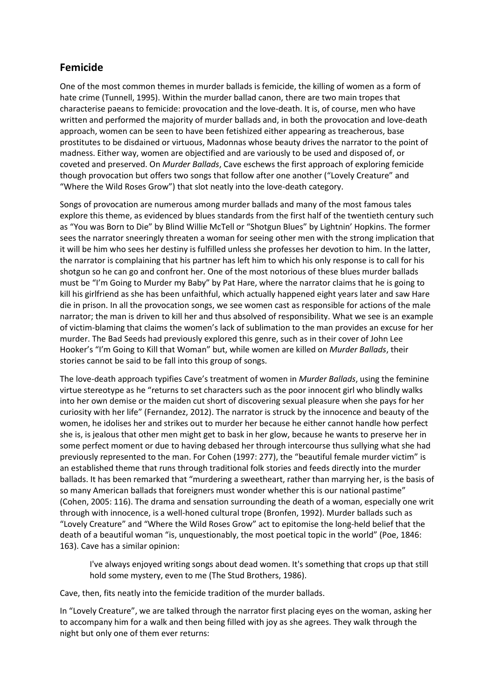# **Femicide**

One of the most common themes in murder ballads is femicide, the killing of women as a form of hate crime (Tunnell, 1995). Within the murder ballad canon, there are two main tropes that characterise paeans to femicide: provocation and the love-death. It is, of course, men who have written and performed the majority of murder ballads and, in both the provocation and love-death approach, women can be seen to have been fetishized either appearing as treacherous, base prostitutes to be disdained or virtuous, Madonnas whose beauty drives the narrator to the point of madness. Either way, women are objectified and are variously to be used and disposed of, or coveted and preserved. On *Murder Ballads*, Cave eschews the first approach of exploring femicide though provocation but offers two songs that follow after one another ("Lovely Creature" and "Where the Wild Roses Grow") that slot neatly into the love-death category.

Songs of provocation are numerous among murder ballads and many of the most famous tales explore this theme, as evidenced by blues standards from the first half of the twentieth century such as "You was Born to Die" by Blind Willie McTell or "Shotgun Blues" by Lightnin' Hopkins. The former sees the narrator sneeringly threaten a woman for seeing other men with the strong implication that it will be him who sees her destiny is fulfilled unless she professes her devotion to him. In the latter, the narrator is complaining that his partner has left him to which his only response is to call for his shotgun so he can go and confront her. One of the most notorious of these blues murder ballads must be "I'm Going to Murder my Baby" by Pat Hare, where the narrator claims that he is going to kill his girlfriend as she has been unfaithful, which actually happened eight years later and saw Hare die in prison. In all the provocation songs, we see women cast as responsible for actions of the male narrator; the man is driven to kill her and thus absolved of responsibility. What we see is an example of victim-blaming that claims the women's lack of sublimation to the man provides an excuse for her murder. The Bad Seeds had previously explored this genre, such as in their cover of John Lee Hooker's "I'm Going to Kill that Woman" but, while women are killed on *Murder Ballads*, their stories cannot be said to be fall into this group of songs.

The love-death approach typifies Cave's treatment of women in *Murder Ballads*, using the feminine virtue stereotype as he "returns to set characters such as the poor innocent girl who blindly walks into her own demise or the maiden cut short of discovering sexual pleasure when she pays for her curiosity with her life" (Fernandez, 2012). The narrator is struck by the innocence and beauty of the women, he idolises her and strikes out to murder her because he either cannot handle how perfect she is, is jealous that other men might get to bask in her glow, because he wants to preserve her in some perfect moment or due to having debased her through intercourse thus sullying what she had previously represented to the man. For Cohen (1997: 277), the "beautiful female murder victim" is an established theme that runs through traditional folk stories and feeds directly into the murder ballads. It has been remarked that "murdering a sweetheart, rather than marrying her, is the basis of so many American ballads that foreigners must wonder whether this is our national pastime" (Cohen, 2005: 116). The drama and sensation surrounding the death of a woman, especially one writ through with innocence, is a well-honed cultural trope (Bronfen, 1992). Murder ballads such as ͞Lovely Creature͟ and ͞Where the Wild Roses Grow͟ act to epitomise the long-held belief that the death of a beautiful woman "is, unquestionably, the most poetical topic in the world" (Poe, 1846: 163). Cave has a similar opinion:

I've always enjoyed writing songs about dead women. It's something that crops up that still hold some mystery, even to me (The Stud Brothers, 1986).

Cave, then, fits neatly into the femicide tradition of the murder ballads.

In "Lovely Creature", we are talked through the narrator first placing eyes on the woman, asking her to accompany him for a walk and then being filled with joy as she agrees. They walk through the night but only one of them ever returns: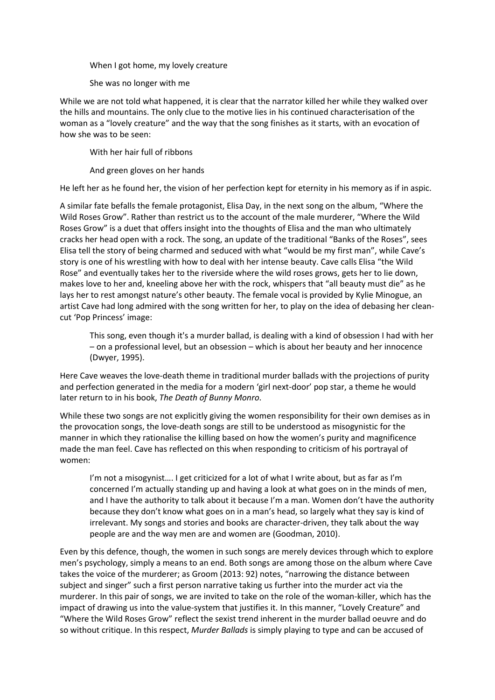When I got home, my lovely creature

She was no longer with me

While we are not told what happened, it is clear that the narrator killed her while they walked over the hills and mountains. The only clue to the motive lies in his continued characterisation of the woman as a "lovely creature" and the way that the song finishes as it starts, with an evocation of how she was to be seen:

With her hair full of ribbons

And green gloves on her hands

He left her as he found her, the vision of her perfection kept for eternity in his memory as if in aspic.

A similar fate befalls the female protagonist, Elisa Day, in the next song on the album, "Where the Wild Roses Grow". Rather than restrict us to the account of the male murderer, "Where the Wild Roses Grow" is a duet that offers insight into the thoughts of Elisa and the man who ultimately cracks her head open with a rock. The song, an update of the traditional "Banks of the Roses", sees Elisa tell the story of being charmed and seduced with what "would be my first man", while Cave's story is one of his wrestling with how to deal with her intense beauty. Cave calls Elisa "the Wild Rose" and eventually takes her to the riverside where the wild roses grows, gets her to lie down, makes love to her and, kneeling above her with the rock, whispers that "all beauty must die" as he lays her to rest amongst nature's other beauty. The female vocal is provided by Kylie Minogue, an artist Cave had long admired with the song written for her, to play on the idea of debasing her cleancut 'Pop Princess' image:

This song, even though it's a murder ballad, is dealing with a kind of obsession I had with her – on a professional level, but an obsession – which is about her beauty and her innocence (Dwyer, 1995).

Here Cave weaves the love-death theme in traditional murder ballads with the projections of purity and perfection generated in the media for a modern 'girl next-door' pop star, a theme he would later return to in his book, *The Death of Bunny Monro*.

While these two songs are not explicitly giving the women responsibility for their own demises as in the provocation songs, the love-death songs are still to be understood as misogynistic for the manner in which they rationalise the killing based on how the women's purity and magnificence made the man feel. Cave has reflected on this when responding to criticism of his portrayal of women:

I'm not a misogynist.... I get criticized for a lot of what I write about, but as far as I'm concerned I'm actually standing up and having a look at what goes on in the minds of men, and I have the authority to talk about it because I'm a man. Women don't have the authority because they don't know what goes on in a man's head, so largely what they say is kind of irrelevant. My songs and stories and books are character-driven, they talk about the way people are and the way men are and women are (Goodman, 2010).

Even by this defence, though, the women in such songs are merely devices through which to explore men's psychology, simply a means to an end. Both songs are among those on the album where Cave takes the voice of the murderer; as Groom (2013: 92) notes, "narrowing the distance between subject and singer" such a first person narrative taking us further into the murder act via the murderer. In this pair of songs, we are invited to take on the role of the woman-killer, which has the impact of drawing us into the value-system that justifies it. In this manner, "Lovely Creature" and ͞Where the Wild Roses Grow͟ reflect the sexist trend inherent in the murder ballad oeuvre and do so without critique. In this respect, *Murder Ballads* is simply playing to type and can be accused of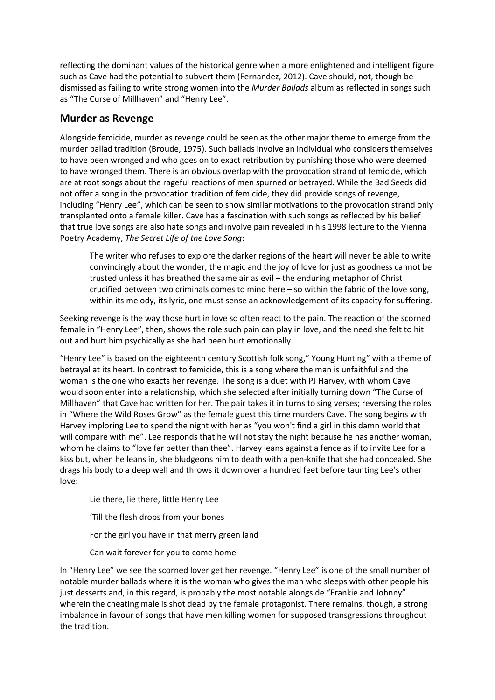reflecting the dominant values of the historical genre when a more enlightened and intelligent figure such as Cave had the potential to subvert them (Fernandez, 2012). Cave should, not, though be dismissed as failing to write strong women into the *Murder Ballads* album as reflected in songs such as "The Curse of Millhaven" and "Henry Lee".

# **Murder as Revenge**

Alongside femicide, murder as revenge could be seen as the other major theme to emerge from the murder ballad tradition (Broude, 1975). Such ballads involve an individual who considers themselves to have been wronged and who goes on to exact retribution by punishing those who were deemed to have wronged them. There is an obvious overlap with the provocation strand of femicide, which are at root songs about the rageful reactions of men spurned or betrayed. While the Bad Seeds did not offer a song in the provocation tradition of femicide, they did provide songs of revenge, including "Henry Lee", which can be seen to show similar motivations to the provocation strand only transplanted onto a female killer. Cave has a fascination with such songs as reflected by his belief that true love songs are also hate songs and involve pain revealed in his 1998 lecture to the Vienna Poetry Academy, *The Secret Life of the Love Song*:

The writer who refuses to explore the darker regions of the heart will never be able to write convincingly about the wonder, the magic and the joy of love for just as goodness cannot be trusted unless it has breathed the same air as evil – the enduring metaphor of Christ crucified between two criminals comes to mind here – so within the fabric of the love song, within its melody, its lyric, one must sense an acknowledgement of its capacity for suffering.

Seeking revenge is the way those hurt in love so often react to the pain. The reaction of the scorned female in "Henry Lee", then, shows the role such pain can play in love, and the need she felt to hit out and hurt him psychically as she had been hurt emotionally.

͞Henry Lee͟ is based on the eighteenth century Scottish folk song,͟ Young Hunting͟ with a theme of betrayal at its heart. In contrast to femicide, this is a song where the man is unfaithful and the woman is the one who exacts her revenge. The song is a duet with PJ Harvey, with whom Cave would soon enter into a relationship, which she selected after initially turning down "The Curse of Millhaven" that Cave had written for her. The pair takes it in turns to sing verses; reversing the roles in "Where the Wild Roses Grow" as the female guest this time murders Cave. The song begins with Harvey imploring Lee to spend the night with her as "you won't find a girl in this damn world that will compare with me". Lee responds that he will not stay the night because he has another woman, whom he claims to "love far better than thee". Harvey leans against a fence as if to invite Lee for a kiss but, when he leans in, she bludgeons him to death with a pen-knife that she had concealed. She drags his body to a deep well and throws it down over a hundred feet before taunting Lee's other love:

Lie there, lie there, little Henry Lee

͚Till the flesh drops from your bones

For the girl you have in that merry green land

Can wait forever for you to come home

In "Henry Lee" we see the scorned lover get her revenge. "Henry Lee" is one of the small number of notable murder ballads where it is the woman who gives the man who sleeps with other people his just desserts and, in this regard, is probably the most notable alongside "Frankie and Johnny" wherein the cheating male is shot dead by the female protagonist. There remains, though, a strong imbalance in favour of songs that have men killing women for supposed transgressions throughout the tradition.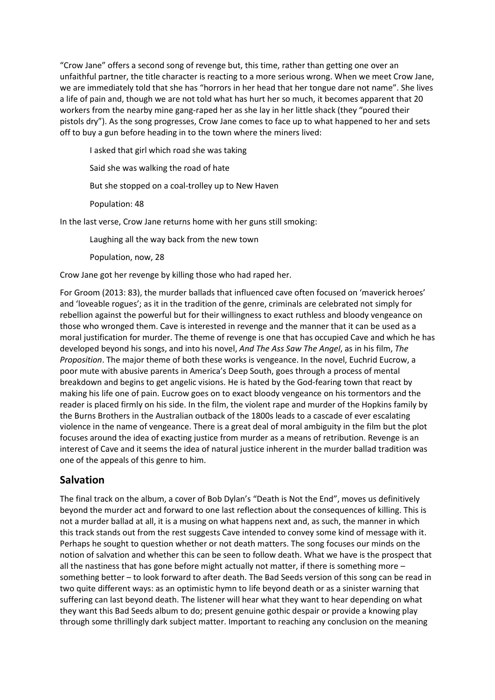͞Crow Jane͟ offers a second song of revenge but, this time, rather than getting one over an unfaithful partner, the title character is reacting to a more serious wrong. When we meet Crow Jane, we are immediately told that she has "horrors in her head that her tongue dare not name". She lives a life of pain and, though we are not told what has hurt her so much, it becomes apparent that 20 workers from the nearby mine gang-raped her as she lay in her little shack (they "poured their pistols dry"). As the song progresses, Crow Jane comes to face up to what happened to her and sets off to buy a gun before heading in to the town where the miners lived:

I asked that girl which road she was taking

Said she was walking the road of hate

But she stopped on a coal-trolley up to New Haven

Population: 48

In the last verse, Crow Jane returns home with her guns still smoking:

Laughing all the way back from the new town

Population, now, 28

Crow Jane got her revenge by killing those who had raped her.

For Groom (2013: 83), the murder ballads that influenced cave often focused on 'maverick heroes' and 'loveable rogues'; as it in the tradition of the genre, criminals are celebrated not simply for rebellion against the powerful but for their willingness to exact ruthless and bloody vengeance on those who wronged them. Cave is interested in revenge and the manner that it can be used as a moral justification for murder. The theme of revenge is one that has occupied Cave and which he has developed beyond his songs, and into his novel, *And The Ass Saw The Angel*, as in his film, *The Proposition*. The major theme of both these works is vengeance. In the novel, Euchrid Eucrow, a poor mute with abusive parents in America's Deep South, goes through a process of mental breakdown and begins to get angelic visions. He is hated by the God-fearing town that react by making his life one of pain. Eucrow goes on to exact bloody vengeance on his tormentors and the reader is placed firmly on his side. In the film, the violent rape and murder of the Hopkins family by the Burns Brothers in the Australian outback of the 1800s leads to a cascade of ever escalating violence in the name of vengeance. There is a great deal of moral ambiguity in the film but the plot focuses around the idea of exacting justice from murder as a means of retribution. Revenge is an interest of Cave and it seems the idea of natural justice inherent in the murder ballad tradition was one of the appeals of this genre to him.

## **Salvation**

The final track on the album, a cover of Bob Dylan's "Death is Not the End", moves us definitively beyond the murder act and forward to one last reflection about the consequences of killing. This is not a murder ballad at all, it is a musing on what happens next and, as such, the manner in which this track stands out from the rest suggests Cave intended to convey some kind of message with it. Perhaps he sought to question whether or not death matters. The song focuses our minds on the notion of salvation and whether this can be seen to follow death. What we have is the prospect that all the nastiness that has gone before might actually not matter, if there is something more – something better – to look forward to after death. The Bad Seeds version of this song can be read in two quite different ways: as an optimistic hymn to life beyond death or as a sinister warning that suffering can last beyond death. The listener will hear what they want to hear depending on what they want this Bad Seeds album to do; present genuine gothic despair or provide a knowing play through some thrillingly dark subject matter. Important to reaching any conclusion on the meaning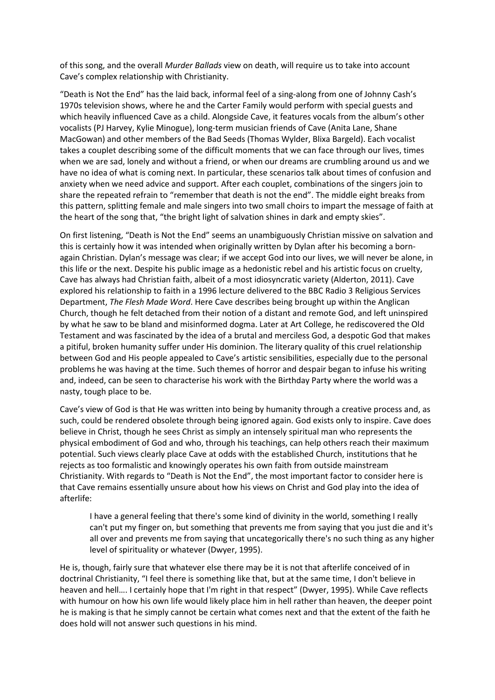of this song, and the overall *Murder Ballads* view on death, will require us to take into account Cave's complex relationship with Christianity.

"Death is Not the End" has the laid back, informal feel of a sing-along from one of Johnny Cash's 1970s television shows, where he and the Carter Family would perform with special guests and which heavily influenced Cave as a child. Alongside Cave, it features vocals from the album's other vocalists (PJ Harvey, Kylie Minogue), long-term musician friends of Cave (Anita Lane, Shane MacGowan) and other members of the Bad Seeds (Thomas Wylder, Blixa Bargeld). Each vocalist takes a couplet describing some of the difficult moments that we can face through our lives, times when we are sad, lonely and without a friend, or when our dreams are crumbling around us and we have no idea of what is coming next. In particular, these scenarios talk about times of confusion and anxiety when we need advice and support. After each couplet, combinations of the singers join to share the repeated refrain to "remember that death is not the end". The middle eight breaks from this pattern, splitting female and male singers into two small choirs to impart the message of faith at the heart of the song that, "the bright light of salvation shines in dark and empty skies".

On first listening, "Death is Not the End" seems an unambiguously Christian missive on salvation and this is certainly how it was intended when originally written by Dylan after his becoming a bornagain Christian. Dylan's message was clear; if we accept God into our lives, we will never be alone, in this life or the next. Despite his public image as a hedonistic rebel and his artistic focus on cruelty, Cave has always had Christian faith, albeit of a most idiosyncratic variety (Alderton, 2011). Cave explored his relationship to faith in a 1996 lecture delivered to the BBC Radio 3 Religious Services Department, *The Flesh Made Word*. Here Cave describes being brought up within the Anglican Church, though he felt detached from their notion of a distant and remote God, and left uninspired by what he saw to be bland and misinformed dogma. Later at Art College, he rediscovered the Old Testament and was fascinated by the idea of a brutal and merciless God, a despotic God that makes a pitiful, broken humanity suffer under His dominion. The literary quality of this cruel relationship between God and His people appealed to Cave's artistic sensibilities, especially due to the personal problems he was having at the time. Such themes of horror and despair began to infuse his writing and, indeed, can be seen to characterise his work with the Birthday Party where the world was a nasty, tough place to be.

Cave's view of God is that He was written into being by humanity through a creative process and, as such, could be rendered obsolete through being ignored again. God exists only to inspire. Cave does believe in Christ, though he sees Christ as simply an intensely spiritual man who represents the physical embodiment of God and who, through his teachings, can help others reach their maximum potential. Such views clearly place Cave at odds with the established Church, institutions that he rejects as too formalistic and knowingly operates his own faith from outside mainstream Christianity. With regards to "Death is Not the End", the most important factor to consider here is that Cave remains essentially unsure about how his views on Christ and God play into the idea of afterlife:

I have a general feeling that there's some kind of divinity in the world, something I really can't put my finger on, but something that prevents me from saying that you just die and it's all over and prevents me from saying that uncategorically there's no such thing as any higher level of spirituality or whatever (Dwyer, 1995).

He is, though, fairly sure that whatever else there may be it is not that afterlife conceived of in doctrinal Christianity, "I feel there is something like that, but at the same time, I don't believe in heaven and hell.... I certainly hope that I'm right in that respect" (Dwyer, 1995). While Cave reflects with humour on how his own life would likely place him in hell rather than heaven, the deeper point he is making is that he simply cannot be certain what comes next and that the extent of the faith he does hold will not answer such questions in his mind.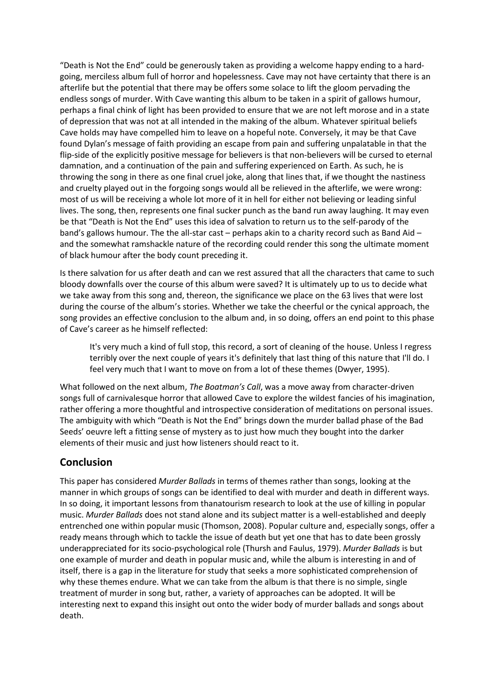͞Death is Not the End͟ could be generously taken as providing a welcome happy ending to a hardgoing, merciless album full of horror and hopelessness. Cave may not have certainty that there is an afterlife but the potential that there may be offers some solace to lift the gloom pervading the endless songs of murder. With Cave wanting this album to be taken in a spirit of gallows humour, perhaps a final chink of light has been provided to ensure that we are not left morose and in a state of depression that was not at all intended in the making of the album. Whatever spiritual beliefs Cave holds may have compelled him to leave on a hopeful note. Conversely, it may be that Cave found Dylan's message of faith providing an escape from pain and suffering unpalatable in that the flip-side of the explicitly positive message for believers is that non-believers will be cursed to eternal damnation, and a continuation of the pain and suffering experienced on Earth. As such, he is throwing the song in there as one final cruel joke, along that lines that, if we thought the nastiness and cruelty played out in the forgoing songs would all be relieved in the afterlife, we were wrong: most of us will be receiving a whole lot more of it in hell for either not believing or leading sinful lives. The song, then, represents one final sucker punch as the band run away laughing. It may even be that "Death is Not the End" uses this idea of salvation to return us to the self-parody of the band's gallows humour. The the all-star cast – perhaps akin to a charity record such as Band Aid – and the somewhat ramshackle nature of the recording could render this song the ultimate moment of black humour after the body count preceding it.

Is there salvation for us after death and can we rest assured that all the characters that came to such bloody downfalls over the course of this album were saved? It is ultimately up to us to decide what we take away from this song and, thereon, the significance we place on the 63 lives that were lost during the course of the album's stories. Whether we take the cheerful or the cynical approach, the song provides an effective conclusion to the album and, in so doing, offers an end point to this phase of Cave's career as he himself reflected:

It's very much a kind of full stop, this record, a sort of cleaning of the house. Unless I regress terribly over the next couple of years it's definitely that last thing of this nature that I'll do. I feel very much that I want to move on from a lot of these themes (Dwyer, 1995).

What followed on the next album, *The Boatman's Call*, was a move away from character-driven songs full of carnivalesque horror that allowed Cave to explore the wildest fancies of his imagination, rather offering a more thoughtful and introspective consideration of meditations on personal issues. The ambiguity with which "Death is Not the End" brings down the murder ballad phase of the Bad Seeds' oeuvre left a fitting sense of mystery as to just how much they bought into the darker elements of their music and just how listeners should react to it.

#### **Conclusion**

This paper has considered *Murder Ballads* in terms of themes rather than songs, looking at the manner in which groups of songs can be identified to deal with murder and death in different ways. In so doing, it important lessons from thanatourism research to look at the use of killing in popular music. *Murder Ballads* does not stand alone and its subject matter is a well-established and deeply entrenched one within popular music (Thomson, 2008). Popular culture and, especially songs, offer a ready means through which to tackle the issue of death but yet one that has to date been grossly underappreciated for its socio-psychological role (Thursh and Faulus, 1979). *Murder Ballads* is but one example of murder and death in popular music and, while the album is interesting in and of itself, there is a gap in the literature for study that seeks a more sophisticated comprehension of why these themes endure. What we can take from the album is that there is no simple, single treatment of murder in song but, rather, a variety of approaches can be adopted. It will be interesting next to expand this insight out onto the wider body of murder ballads and songs about death.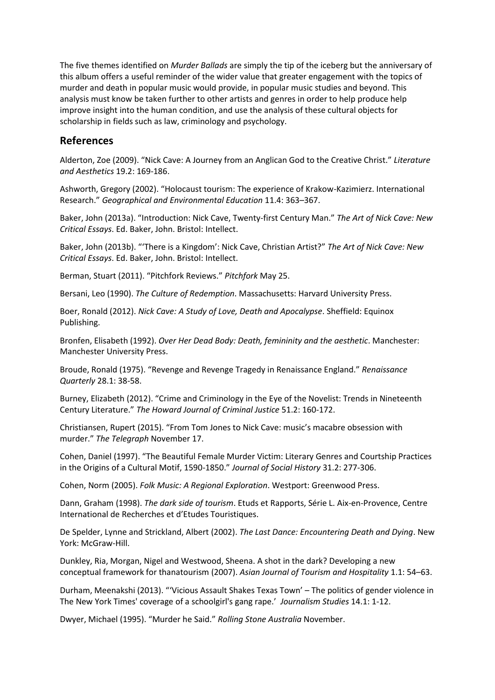The five themes identified on Murder Ballads are simply the tip of the iceberg but the anniversary of this album offers a useful reminder of the wider value that greater engagement with the topics of murder and death in popular music would provide, in popular music studies and beyond. This analysis must know be taken further to other artists and genres in order to help produce help improve insight into the human condition, and use the analysis of these cultural objects for scholarship in fields such as law, criminology and psychology.

#### **References**

Alderton, Zoe (2009). "Nick Cave: A Journey from an Anglican God to the Creative Christ." Literature and Aesthetics 19.2: 169-186.

Ashworth, Gregory (2002). "Holocaust tourism: The experience of Krakow-Kazimierz. International Research." Geographical and Environmental Education 11.4: 363-367.

Baker, John (2013a). "Introduction: Nick Cave, Twenty-first Century Man." The Art of Nick Cave: New Critical Essays. Ed. Baker, John. Bristol: Intellect.

Baker, John (2013b). "There is a Kingdom': Nick Cave, Christian Artist?" The Art of Nick Cave: New Critical Essays. Ed. Baker, John. Bristol: Intellect.

Berman, Stuart (2011). "Pitchfork Reviews." Pitchfork May 25.

Bersani, Leo (1990). The Culture of Redemption. Massachusetts: Harvard University Press.

Boer, Ronald (2012). Nick Cave: A Study of Love, Death and Apocalypse. Sheffield: Equinox Publishing.

Bronfen, Elisabeth (1992). Over Her Dead Body: Death, femininity and the aesthetic. Manchester: Manchester University Press.

Broude, Ronald (1975). "Revenge and Revenge Tragedy in Renaissance England." Renaissance Quarterly 28.1: 38-58.

Burney, Elizabeth (2012). "Crime and Criminology in the Eye of the Novelist: Trends in Nineteenth Century Literature." The Howard Journal of Criminal Justice 51.2: 160-172.

Christiansen, Rupert (2015). "From Tom Jones to Nick Cave: music's macabre obsession with murder." The Telegraph November 17.

Cohen, Daniel (1997). "The Beautiful Female Murder Victim: Literary Genres and Courtship Practices in the Origins of a Cultural Motif, 1590-1850." Journal of Social History 31.2: 277-306.

Cohen, Norm (2005). Folk Music: A Regional Exploration. Westport: Greenwood Press.

Dann, Graham (1998). The dark side of tourism. Etuds et Rapports, Série L. Aix-en-Provence, Centre International de Recherches et d'Etudes Touristiques.

De Spelder, Lynne and Strickland, Albert (2002). The Last Dance: Encountering Death and Dying. New York: McGraw-Hill.

Dunkley, Ria, Morgan, Nigel and Westwood, Sheena. A shot in the dark? Developing a new conceptual framework for thanatourism (2007). Asian Journal of Tourism and Hospitality 1.1: 54-63.

Durham, Meenakshi (2013). "'Vicious Assault Shakes Texas Town' - The politics of gender violence in The New York Times' coverage of a schoolgirl's gang rape.' Journalism Studies 14.1: 1-12.

Dwyer, Michael (1995). "Murder he Said." Rolling Stone Australia November.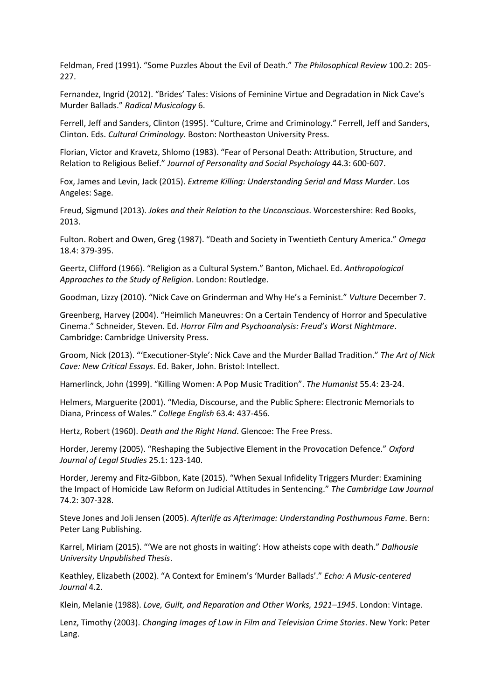Feldman, Fred (1991). "Some Puzzles About the Evil of Death." The Philosophical Review 100.2: 205-227.

Fernandez, Ingrid (2012). "Brides' Tales: Visions of Feminine Virtue and Degradation in Nick Cave's Murder Ballads." Radical Musicology 6.

Ferrell, Jeff and Sanders, Clinton (1995). "Culture, Crime and Criminology." Ferrell, Jeff and Sanders, Clinton. Eds. Cultural Criminology. Boston: Northeaston University Press.

Florian, Victor and Kravetz, Shlomo (1983). "Fear of Personal Death: Attribution, Structure, and Relation to Religious Belief." Journal of Personality and Social Psychology 44.3: 600-607.

Fox, James and Levin, Jack (2015). Extreme Killing: Understanding Serial and Mass Murder. Los Angeles: Sage.

Freud, Sigmund (2013). Jokes and their Relation to the Unconscious. Worcestershire: Red Books, 2013.

Fulton. Robert and Owen, Greg (1987). "Death and Society in Twentieth Century America." Omega 18.4: 379-395.

Geertz, Clifford (1966). "Religion as a Cultural System." Banton, Michael. Ed. Anthropological Approaches to the Study of Religion. London: Routledge.

Goodman, Lizzy (2010). "Nick Cave on Grinderman and Why He's a Feminist." Vulture December 7.

Greenberg, Harvey (2004). "Heimlich Maneuvres: On a Certain Tendency of Horror and Speculative Cinema." Schneider, Steven, Ed. Horror Film and Psychoanalysis: Freud's Worst Nightmare. Cambridge: Cambridge University Press.

Groom, Nick (2013). "'Executioner-Style': Nick Cave and the Murder Ballad Tradition." The Art of Nick Cave: New Critical Essays. Ed. Baker, John. Bristol: Intellect.

Hamerlinck, John (1999). "Killing Women: A Pop Music Tradition". The Humanist 55.4: 23-24.

Helmers, Marguerite (2001). "Media, Discourse, and the Public Sphere: Electronic Memorials to Diana, Princess of Wales." College English 63.4: 437-456.

Hertz, Robert (1960). Death and the Right Hand. Glencoe: The Free Press.

Horder, Jeremy (2005). "Reshaping the Subjective Element in the Provocation Defence." Oxford Journal of Legal Studies 25.1: 123-140.

Horder, Jeremy and Fitz-Gibbon, Kate (2015). "When Sexual Infidelity Triggers Murder: Examining the Impact of Homicide Law Reform on Judicial Attitudes in Sentencing." The Cambridge Law Journal  $74.2:307-328$ 

Steve Jones and Joli Jensen (2005). Afterlife as Afterimage: Understanding Posthumous Fame. Bern: Peter Lang Publishing.

Karrel, Miriam (2015). "'We are not ghosts in waiting': How atheists cope with death." Dalhousie University Unpublished Thesis.

Keathley, Elizabeth (2002). "A Context for Eminem's 'Murder Ballads'." Echo: A Music-centered Journal 4.2.

Klein, Melanie (1988). Love, Guilt, and Reparation and Other Works, 1921-1945. London: Vintage.

Lenz, Timothy (2003). Changing Images of Law in Film and Television Crime Stories. New York: Peter Lang.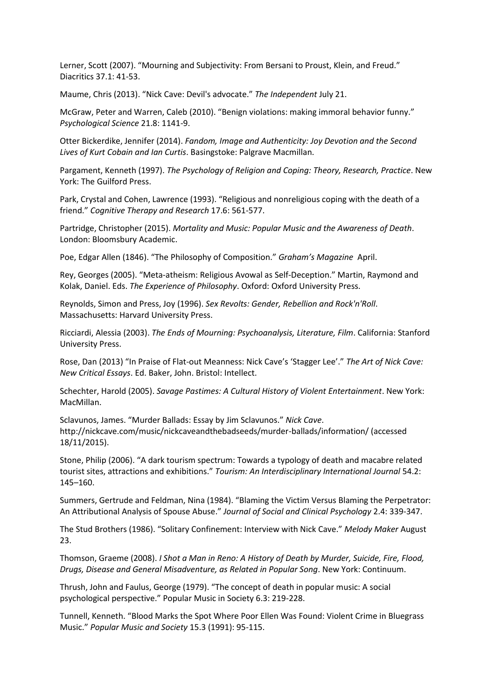Lerner, Scott (2007). "Mourning and Subjectivity: From Bersani to Proust, Klein, and Freud." Diacritics 37.1: 41-53.

Maume, Chris (2013). "Nick Cave: Devil's advocate." The Independent July 21.

McGraw, Peter and Warren, Caleb (2010). "Benign violations: making immoral behavior funny." *Psychological Science* 21.8: 1141-9.

Otter Bickerdike, Jennifer (2014). *Fandom, Image and Authenticity: Joy Devotion and the Second Lives of Kurt Cobain and Ian Curtis*. Basingstoke: Palgrave Macmillan.

Pargament, Kenneth (1997). *The Psychology of Religion and Coping: Theory, Research, Practice*. New York: The Guilford Press.

Park, Crystal and Cohen, Lawrence (1993). "Religious and nonreligious coping with the death of a friend." Cognitive Therapy and Research 17.6: 561-577.

Partridge, Christopher (2015). *Mortality and Music: Popular Music and the Awareness of Death*. London: Bloomsbury Academic.

Poe, Edgar Allen (1846). "The Philosophy of Composition." Graham's Magazine April.

Rey, Georges (2005). "Meta-atheism: Religious Avowal as Self-Deception." Martin, Raymond and Kolak, Daniel. Eds. *The Experience of Philosophy*. Oxford: Oxford University Press.

Reynolds, Simon and Press, Joy (1996). *Sex Revolts: Gender, Rebellion and Rock'n'Roll*. Massachusetts: Harvard University Press.

Ricciardi, Alessia (2003). *The Ends of Mourning: Psychoanalysis, Literature, Film*. California: Stanford University Press.

Rose, Dan (2013) "In Praise of Flat-out Meanness: Nick Cave's 'Stagger Lee'." The Art of Nick Cave: *New Critical Essays*. Ed. Baker, John. Bristol: Intellect.

Schechter, Harold (2005). *Savage Pastimes: A Cultural History of Violent Entertainment*. New York: MacMillan.

Sclavunos, James. ͞Murder Ballads: Essay by Jim Sclavunos.͟ *Nick Cave*. http://nickcave.com/music/nickcaveandthebadseeds/murder-ballads/information/ (accessed 18/11/2015).

Stone, Philip (2006). "A dark tourism spectrum: Towards a typology of death and macabre related tourist sites, attractions and exhibitions.<sup>"</sup> *Tourism: An Interdisciplinary International Journal* 54.2: 145–160.

Summers, Gertrude and Feldman, Nina (1984). "Blaming the Victim Versus Blaming the Perpetrator: An Attributional Analysis of Spouse Abuse.<sup>*"</sup> Journal of Social and Clinical Psychology* 2.4: 339-347.</sup>

The Stud Brothers (1986). "Solitary Confinement: Interview with Nick Cave." Melody Maker August 23.

Thomson, Graeme (2008). *I Shot a Man in Reno: A History of Death by Murder, Suicide, Fire, Flood, Drugs, Disease and General Misadventure, as Related in Popular Song*. New York: Continuum.

Thrush, John and Faulus, George (1979). "The concept of death in popular music: A social psychological perspective." Popular Music in Society 6.3: 219-228.

Tunnell, Kenneth. "Blood Marks the Spot Where Poor Ellen Was Found: Violent Crime in Bluegrass Music.<sup>"</sup> Popular Music and Society 15.3 (1991): 95-115.